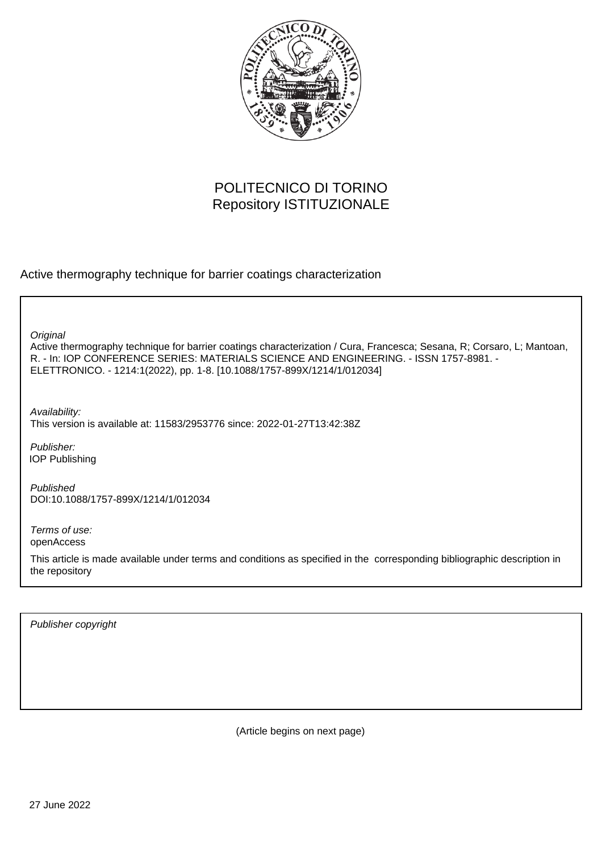

# POLITECNICO DI TORINO Repository ISTITUZIONALE

Active thermography technique for barrier coatings characterization

Active thermography technique for barrier coatings characterization / Cura, Francesca; Sesana, R; Corsaro, L; Mantoan, R. - In: IOP CONFERENCE SERIES: MATERIALS SCIENCE AND ENGINEERING. - ISSN 1757-8981. - ELETTRONICO. - 1214:1(2022), pp. 1-8. [10.1088/1757-899X/1214/1/012034] **Original** 

Availability: This version is available at: 11583/2953776 since: 2022-01-27T13:42:38Z

Publisher: IOP Publishing

Published DOI:10.1088/1757-899X/1214/1/012034

Terms of use: openAccess

This article is made available under terms and conditions as specified in the corresponding bibliographic description in the repository

Publisher copyright

(Article begins on next page)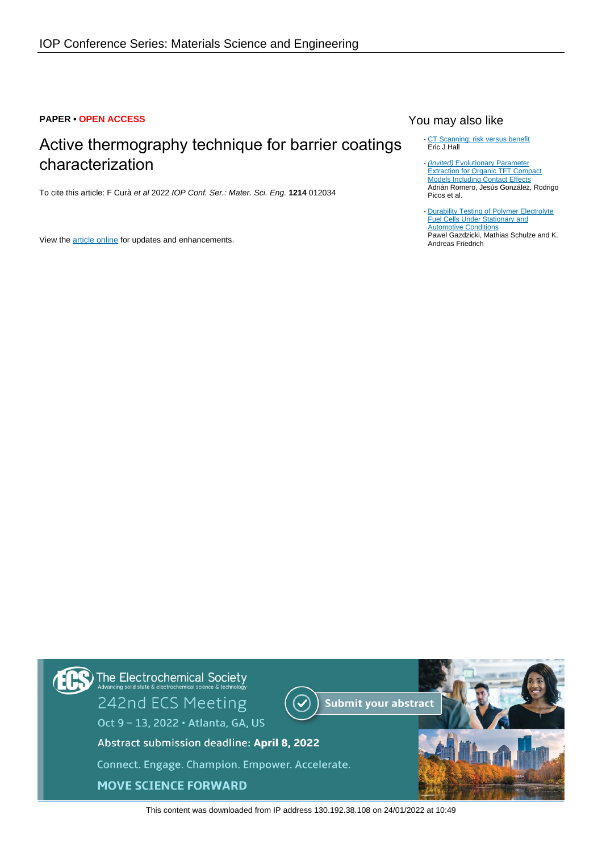## **PAPER • OPEN ACCESS**

# Active thermography technique for barrier coatings characterization

To cite this article: F Curà et al 2022 IOP Conf. Ser.: Mater. Sci. Eng. **1214** 012034

View the [article online](https://doi.org/10.1088/1757-899X/1214/1/012034) for updates and enhancements.

# You may also like

- [CT Scanning; risk versus benefit](/article/10.1088/0952-4746/20/4/001) Eric J Hall

(Invited) [Evolutionary Parameter](/article/10.1149/MA2019-01/25/1243) **[Extraction for Organic TFT Compact](/article/10.1149/MA2019-01/25/1243)** [Models Including Contact Effects](/article/10.1149/MA2019-01/25/1243) Adrián Romero, Jesús González, Rodrigo Picos et al. -

[Durability Testing of Polymer Electrolyte](/article/10.1149/MA2016-01/1/111) **[Fuel Cells Under Stationary and](/article/10.1149/MA2016-01/1/111)** [Automotive Conditions](/article/10.1149/MA2016-01/1/111) Pawel Gazdzicki, Mathias Schulze and K. Andreas Friedrich -



This content was downloaded from IP address 130.192.38.108 on 24/01/2022 at 10:49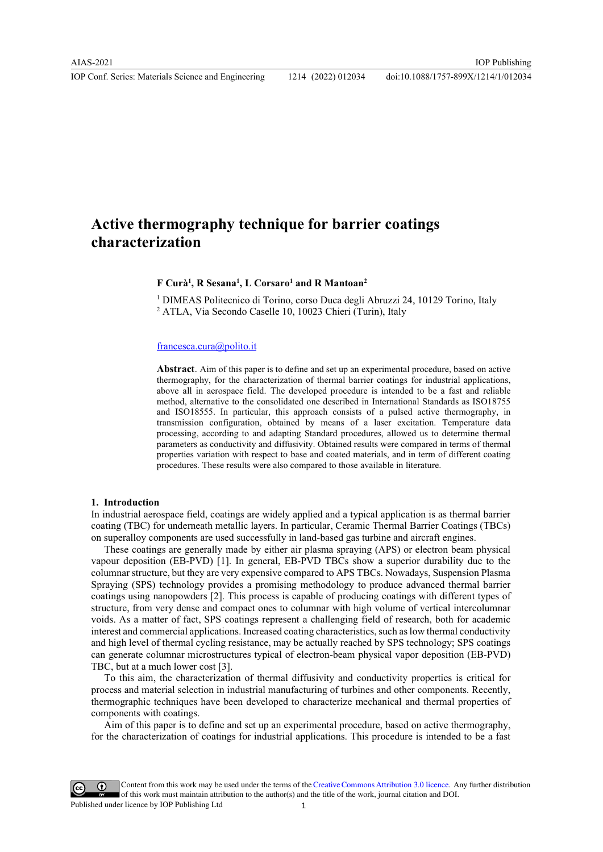IOP Conf. Series: Materials Science and Engineering 1214 (2022) 012034

### doi:10.1088/1757-899X/1214/1/012034

# Active thermography technique for barrier coatings characterization

## F Curà<sup>1</sup>, R Sesana<sup>1</sup>, L Corsaro<sup>1</sup> and R Mantoan<sup>2</sup>

<sup>1</sup> DIMEAS Politecnico di Torino, corso Duca degli Abruzzi 24, 10129 Torino, Italy 2 ATLA, Via Secondo Caselle 10, 10023 Chieri (Turin), Italy

#### francesca.cura@polito.it

Abstract. Aim of this paper is to define and set up an experimental procedure, based on active thermography, for the characterization of thermal barrier coatings for industrial applications, above all in aerospace field. The developed procedure is intended to be a fast and reliable method, alternative to the consolidated one described in International Standards as ISO18755 and ISO18555. In particular, this approach consists of a pulsed active thermography, in transmission configuration, obtained by means of a laser excitation. Temperature data processing, according to and adapting Standard procedures, allowed us to determine thermal parameters as conductivity and diffusivity. Obtained results were compared in terms of thermal properties variation with respect to base and coated materials, and in term of different coating procedures. These results were also compared to those available in literature.

### 1. Introduction

In industrial aerospace field, coatings are widely applied and a typical application is as thermal barrier coating (TBC) for underneath metallic layers. In particular, Ceramic Thermal Barrier Coatings (TBCs) on superalloy components are used successfully in land-based gas turbine and aircraft engines.

These coatings are generally made by either air plasma spraying (APS) or electron beam physical vapour deposition (EB-PVD) [1]. In general, EB-PVD TBCs show a superior durability due to the columnar structure, but they are very expensive compared to APS TBCs. Nowadays, Suspension Plasma Spraying (SPS) technology provides a promising methodology to produce advanced thermal barrier coatings using nanopowders [2]. This process is capable of producing coatings with different types of structure, from very dense and compact ones to columnar with high volume of vertical intercolumnar voids. As a matter of fact, SPS coatings represent a challenging field of research, both for academic interest and commercial applications. Increased coating characteristics, such as low thermal conductivity and high level of thermal cycling resistance, may be actually reached by SPS technology; SPS coatings can generate columnar microstructures typical of electron-beam physical vapor deposition (EB-PVD) TBC, but at a much lower cost [3].

To this aim, the characterization of thermal diffusivity and conductivity properties is critical for process and material selection in industrial manufacturing of turbines and other components. Recently, thermographic techniques have been developed to characterize mechanical and thermal properties of components with coatings.

Aim of this paper is to define and set up an experimental procedure, based on active thermography, for the characterization of coatings for industrial applications. This procedure is intended to be a fast

Content from this work may be used under the terms of theCreative Commons Attribution 3.0 licence. Any further distribution of this work must maintain attribution to the author(s) and the title of the work, journal citation and DOI. Published under licence by IOP Publishing Ltd 1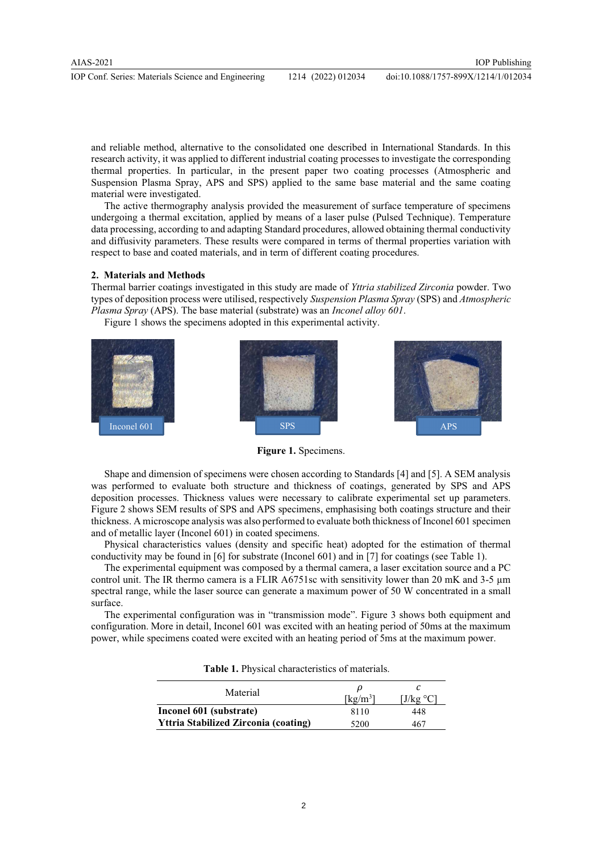and reliable method, alternative to the consolidated one described in International Standards. In this research activity, it was applied to different industrial coating processes to investigate the corresponding thermal properties. In particular, in the present paper two coating processes (Atmospheric and Suspension Plasma Spray, APS and SPS) applied to the same base material and the same coating material were investigated.

The active thermography analysis provided the measurement of surface temperature of specimens undergoing a thermal excitation, applied by means of a laser pulse (Pulsed Technique). Temperature data processing, according to and adapting Standard procedures, allowed obtaining thermal conductivity and diffusivity parameters. These results were compared in terms of thermal properties variation with respect to base and coated materials, and in term of different coating procedures.

#### 2. Materials and Methods

Thermal barrier coatings investigated in this study are made of Yttria stabilized Zirconia powder. Two types of deposition process were utilised, respectively Suspension Plasma Spray (SPS) and Atmospheric Plasma Spray (APS). The base material (substrate) was an Inconel alloy 601.

Figure 1 shows the specimens adopted in this experimental activity.



Figure 1. Specimens.

Shape and dimension of specimens were chosen according to Standards [4] and [5]. A SEM analysis was performed to evaluate both structure and thickness of coatings, generated by SPS and APS deposition processes. Thickness values were necessary to calibrate experimental set up parameters. Figure 2 shows SEM results of SPS and APS specimens, emphasising both coatings structure and their thickness. A microscope analysis was also performed to evaluate both thickness of Inconel 601 specimen and of metallic layer (Inconel 601) in coated specimens.

Physical characteristics values (density and specific heat) adopted for the estimation of thermal conductivity may be found in [6] for substrate (Inconel 601) and in [7] for coatings (see Table 1).

The experimental equipment was composed by a thermal camera, a laser excitation source and a PC control unit. The IR thermo camera is a FLIR A6751sc with sensitivity lower than 20 mK and 3-5 μm spectral range, while the laser source can generate a maximum power of 50 W concentrated in a small surface.

The experimental configuration was in "transmission mode". Figure 3 shows both equipment and configuration. More in detail, Inconel 601 was excited with an heating period of 50ms at the maximum power, while specimens coated were excited with an heating period of 5ms at the maximum power.

| Material                                    | $\lceil \text{kg/m}^3 \rceil$ | ∐/kg °C |  |
|---------------------------------------------|-------------------------------|---------|--|
| Inconel 601 (substrate)                     | 8110                          | 448     |  |
| <b>Yttria Stabilized Zirconia (coating)</b> | 5200                          | 467     |  |

Table 1. Physical characteristics of materials.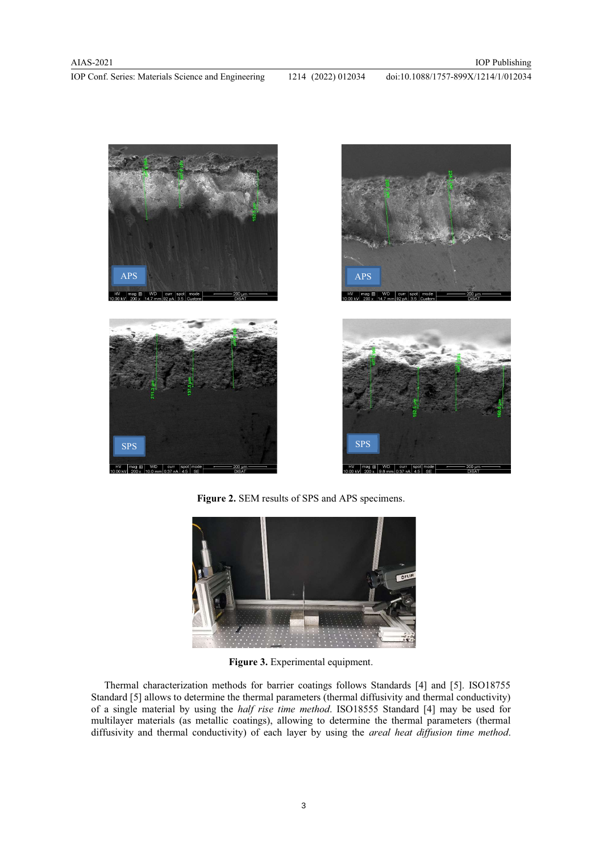IOP Conf. Series: Materials Science and Engineering 1214 (2022) 012034 doi:10.1088/1757-899X/1214/1/012034



Figure 2. SEM results of SPS and APS specimens.



Figure 3. Experimental equipment.

Thermal characterization methods for barrier coatings follows Standards [4] and [5]. ISO18755 Standard [5] allows to determine the thermal parameters (thermal diffusivity and thermal conductivity) of a single material by using the half rise time method. ISO18555 Standard [4] may be used for multilayer materials (as metallic coatings), allowing to determine the thermal parameters (thermal diffusivity and thermal conductivity) of each layer by using the *areal heat diffusion time method*.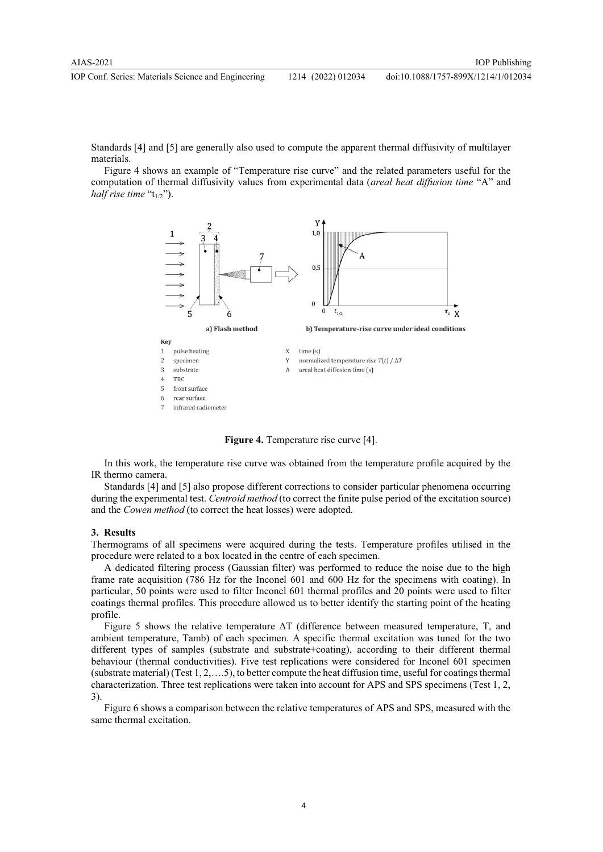Standards [4] and [5] are generally also used to compute the apparent thermal diffusivity of multilayer materials.

Figure 4 shows an example of "Temperature rise curve" and the related parameters useful for the computation of thermal diffusivity values from experimental data (areal heat diffusion time "A" and half rise time " $t_{1/2}$ ").



Figure 4. Temperature rise curve [4].

In this work, the temperature rise curve was obtained from the temperature profile acquired by the IR thermo camera.

Standards [4] and [5] also propose different corrections to consider particular phenomena occurring during the experimental test. Centroid method (to correct the finite pulse period of the excitation source) and the Cowen method (to correct the heat losses) were adopted.

#### 3. Results

Thermograms of all specimens were acquired during the tests. Temperature profiles utilised in the procedure were related to a box located in the centre of each specimen.

A dedicated filtering process (Gaussian filter) was performed to reduce the noise due to the high frame rate acquisition (786 Hz for the Inconel 601 and 600 Hz for the specimens with coating). In particular, 50 points were used to filter Inconel 601 thermal profiles and 20 points were used to filter coatings thermal profiles. This procedure allowed us to better identify the starting point of the heating profile.

Figure 5 shows the relative temperature ΔT (difference between measured temperature, T, and ambient temperature, Tamb) of each specimen. A specific thermal excitation was tuned for the two different types of samples (substrate and substrate+coating), according to their different thermal behaviour (thermal conductivities). Five test replications were considered for Inconel 601 specimen (substrate material) (Test 1, 2,….5), to better compute the heat diffusion time, useful for coatings thermal characterization. Three test replications were taken into account for APS and SPS specimens (Test 1, 2, 3).

Figure 6 shows a comparison between the relative temperatures of APS and SPS, measured with the same thermal excitation.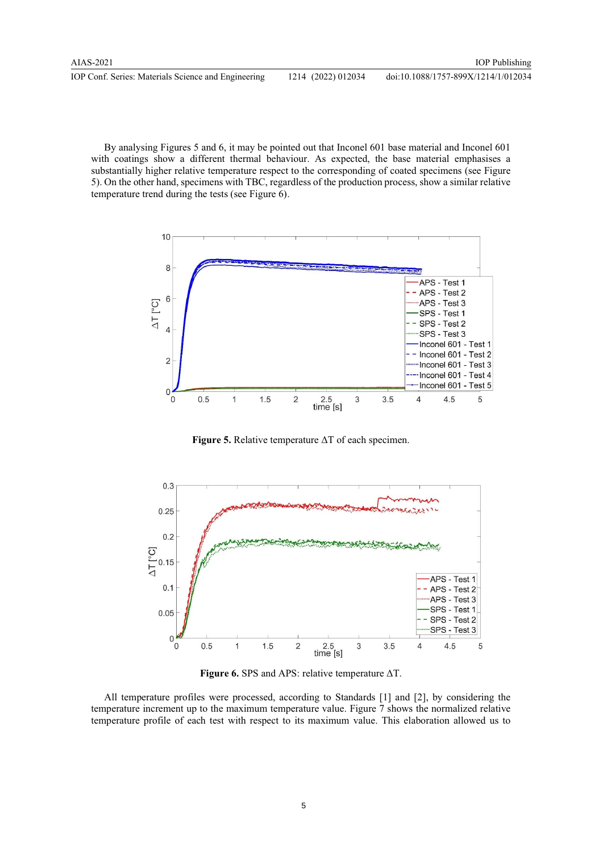By analysing Figures 5 and 6, it may be pointed out that Inconel 601 base material and Inconel 601 with coatings show a different thermal behaviour. As expected, the base material emphasises a substantially higher relative temperature respect to the corresponding of coated specimens (see Figure 5). On the other hand, specimens with TBC, regardless of the production process, show a similar relative temperature trend during the tests (see Figure 6).



**Figure 5.** Relative temperature  $\Delta T$  of each specimen.



**Figure 6.** SPS and APS: relative temperature  $\Delta T$ .

All temperature profiles were processed, according to Standards [1] and [2], by considering the temperature increment up to the maximum temperature value. Figure 7 shows the normalized relative temperature profile of each test with respect to its maximum value. This elaboration allowed us to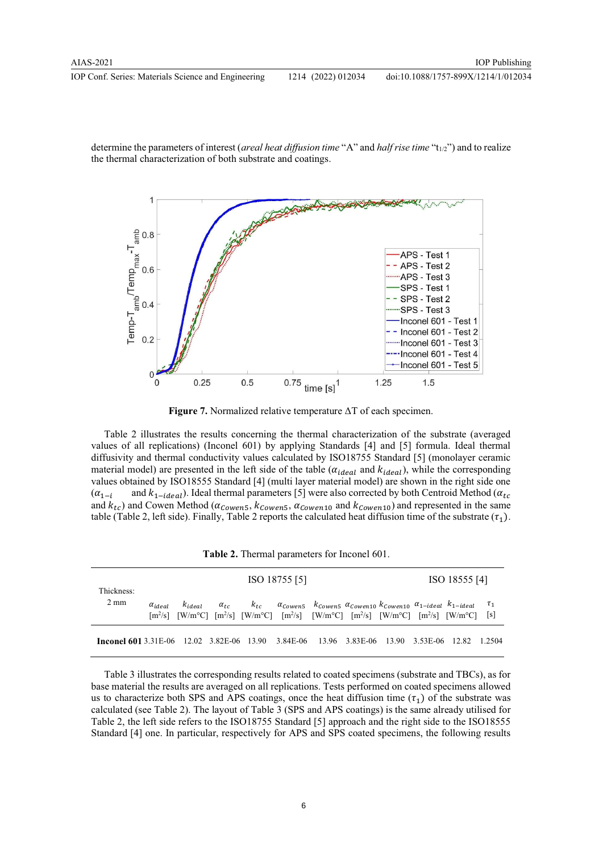IOP Conf. Series: Materials Science and Engineering 1214 (2022) 012034 doi:10.1088/1757-899X/1214/1/012034

determine the parameters of interest (*areal heat diffusion time* "A" and *half rise time* " $t_{1/2}$ ") and to realize the thermal characterization of both substrate and coatings.



Figure 7. Normalized relative temperature ΔT of each specimen.

Table 2 illustrates the results concerning the thermal characterization of the substrate (averaged values of all replications) (Inconel 601) by applying Standards [4] and [5] formula. Ideal thermal diffusivity and thermal conductivity values calculated by ISO18755 Standard [5] (monolayer ceramic material model) are presented in the left side of the table ( $\alpha_{ideal}$  and  $k_{ideal}$ ), while the corresponding values obtained by ISO18555 Standard [4] (multi layer material model) are shown in the right side one  $(\alpha_{1-i}$  and  $k_{1-ideal}$ ). Ideal thermal parameters [5] were also corrected by both Centroid Method ( $\alpha_{tc}$ and  $k_{tc}$ ) and Cowen Method ( $\alpha_{Cowen5}$ ,  $k_{Cowen5}$ ,  $\alpha_{Cowen10}$  and  $k_{Cowen10}$ ) and represented in the same table (Table 2, left side). Finally, Table 2 reports the calculated heat diffusion time of the substrate  $(\tau_1)$ .

| Thickness:<br>$2 \text{ mm}$                                                   |                  | ISO 18755 [5] |               |  |                                                                                                                                                                                                                                                                                                                                                     |  |  |  | ISO 18555 [4]  |  |        |
|--------------------------------------------------------------------------------|------------------|---------------|---------------|--|-----------------------------------------------------------------------------------------------------------------------------------------------------------------------------------------------------------------------------------------------------------------------------------------------------------------------------------------------------|--|--|--|----------------|--|--------|
|                                                                                | $\alpha_{ideal}$ | $K_{ideal}$   | $\alpha_{tc}$ |  | $k_{tc}$ $\alpha_{Cowen5}$ $k_{Cowen5}$ $\alpha_{Cowen10}$ $k_{Cowen10}$ $\alpha_{1-ideal}$ $k_{1-ideal}$ $\tau_1$<br>$\lceil m^2/s \rceil$ $\lceil W/m^{\circ}C \rceil$ $\lceil m^2/s \rceil$ $\lceil W/m^{\circ}C \rceil$ $\lceil m^2/s \rceil$ $\lceil W/m^{\circ}C \rceil$ $\lceil m^2/s \rceil$ $\lceil W/m^{\circ}C \rceil$ $\lceil s \rceil$ |  |  |  |                |  |        |
| <b>Inconel 601</b> 3.31E-06 12.02 3.82E-06 13.90 3.84E-06 13.96 3.83E-06 13.90 |                  |               |               |  |                                                                                                                                                                                                                                                                                                                                                     |  |  |  | 3.53E-06 12.82 |  | 1.2504 |

Table 3 illustrates the corresponding results related to coated specimens (substrate and TBCs), as for base material the results are averaged on all replications. Tests performed on coated specimens allowed us to characterize both SPS and APS coatings, once the heat diffusion time  $(\tau_1)$  of the substrate was calculated (see Table 2). The layout of Table 3 (SPS and APS coatings) is the same already utilised for Table 2, the left side refers to the ISO18755 Standard [5] approach and the right side to the ISO18555 Standard [4] one. In particular, respectively for APS and SPS coated specimens, the following results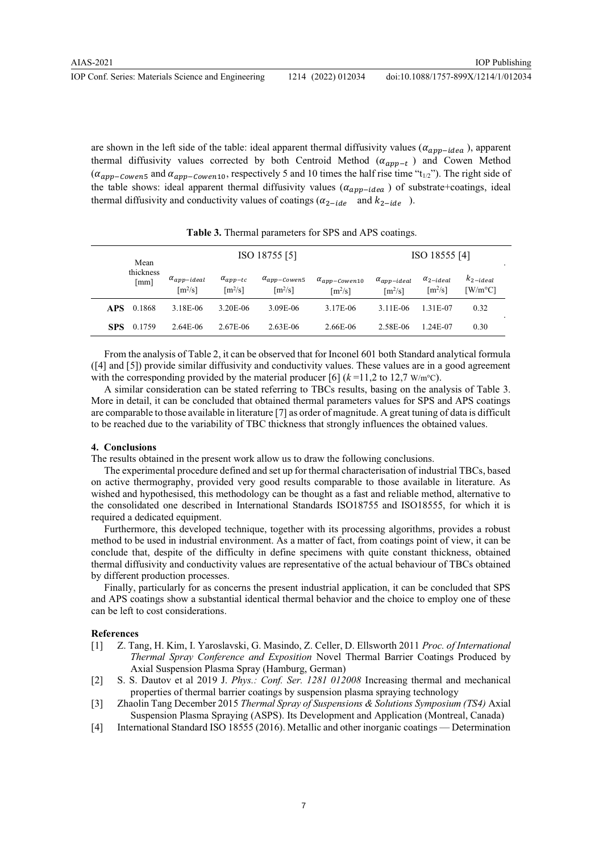are shown in the left side of the table: ideal apparent thermal diffusivity values ( $\alpha_{app-idea}$ ), apparent thermal diffusivity values corrected by both Centroid Method  $(\alpha_{app-t})$  and Cowen Method  $(\alpha_{app-Cowen5}$  and  $\alpha_{app-Cowen10}$ , respectively 5 and 10 times the half rise time "t<sub>1/2</sub>"). The right side of the table shows: ideal apparent thermal diffusivity values  $(\alpha_{app-idea})$  of substrate+coatings, ideal thermal diffusivity and conductivity values of coatings  $(\alpha_{2-ide}$  and  $k_{2-ide}$ ).

| Mean<br>thickness<br>[mm] |        |                                               | ISO 18755 [5]                                                                                | ISO 18555 [4] |                                                 |                                               |                                             |                                   |  |
|---------------------------|--------|-----------------------------------------------|----------------------------------------------------------------------------------------------|---------------|-------------------------------------------------|-----------------------------------------------|---------------------------------------------|-----------------------------------|--|
|                           |        | $\alpha_{app-ideal}$<br>$\lceil m^2/s \rceil$ | $\alpha_{app-tc}$<br>$\alpha_{app-Cowen5}$<br>$\lceil m^2/s \rceil$<br>$\lceil m^2/s \rceil$ |               | $\alpha_{app-Cowen10}$<br>$\lceil m^2/s \rceil$ | $\alpha_{app-ideal}$<br>$\lceil m^2/s \rceil$ | $\alpha_{2-ideal}$<br>$\lceil m^2/s \rceil$ | $k_{2-ideal}$<br>$[W/m^{\circ}C]$ |  |
| <b>APS</b>                | 0.1868 | 3.18E-06                                      | 3.20E-06                                                                                     | 3.09E-06      | 3.17E-06                                        | 3.11E-06                                      | 1.31E-07                                    | 0.32                              |  |
| <b>SPS</b>                | 0.1759 | $2.64E - 06$                                  | 2.67E-06                                                                                     | $2.63E - 06$  | 2.66E-06                                        | 2.58E-06                                      | 1.24E-07                                    | 0.30                              |  |

Table 3. Thermal parameters for SPS and APS coatings.

From the analysis of Table 2, it can be observed that for Inconel 601 both Standard analytical formula ([4] and [5]) provide similar diffusivity and conductivity values. These values are in a good agreement with the corresponding provided by the material producer [6]  $(k=11.2$  to 12,7 W/m<sup>o</sup>C).

A similar consideration can be stated referring to TBCs results, basing on the analysis of Table 3. More in detail, it can be concluded that obtained thermal parameters values for SPS and APS coatings are comparable to those available in literature [7] as order of magnitude. A great tuning of data is difficult to be reached due to the variability of TBC thickness that strongly influences the obtained values.

## 4. Conclusions

The results obtained in the present work allow us to draw the following conclusions.

The experimental procedure defined and set up for thermal characterisation of industrial TBCs, based on active thermography, provided very good results comparable to those available in literature. As wished and hypothesised, this methodology can be thought as a fast and reliable method, alternative to the consolidated one described in International Standards ISO18755 and ISO18555, for which it is required a dedicated equipment.

Furthermore, this developed technique, together with its processing algorithms, provides a robust method to be used in industrial environment. As a matter of fact, from coatings point of view, it can be conclude that, despite of the difficulty in define specimens with quite constant thickness, obtained thermal diffusivity and conductivity values are representative of the actual behaviour of TBCs obtained by different production processes.

Finally, particularly for as concerns the present industrial application, it can be concluded that SPS and APS coatings show a substantial identical thermal behavior and the choice to employ one of these can be left to cost considerations.

#### References

- [1] Z. Tang, H. Kim, I. Yaroslavski, G. Masindo, Z. Celler, D. Ellsworth 2011 Proc. of International Thermal Spray Conference and Exposition Novel Thermal Barrier Coatings Produced by Axial Suspension Plasma Spray (Hamburg, German)
- [2] S. S. Dautov et al 2019 J. Phys.: Conf. Ser. 1281 012008 Increasing thermal and mechanical properties of thermal barrier coatings by suspension plasma spraying technology
- [3] Zhaolin Tang December 2015 Thermal Spray of Suspensions & Solutions Symposium (TS4) Axial Suspension Plasma Spraying (ASPS). Its Development and Application (Montreal, Canada)
- [4] International Standard ISO 18555 (2016). Metallic and other inorganic coatings Determination